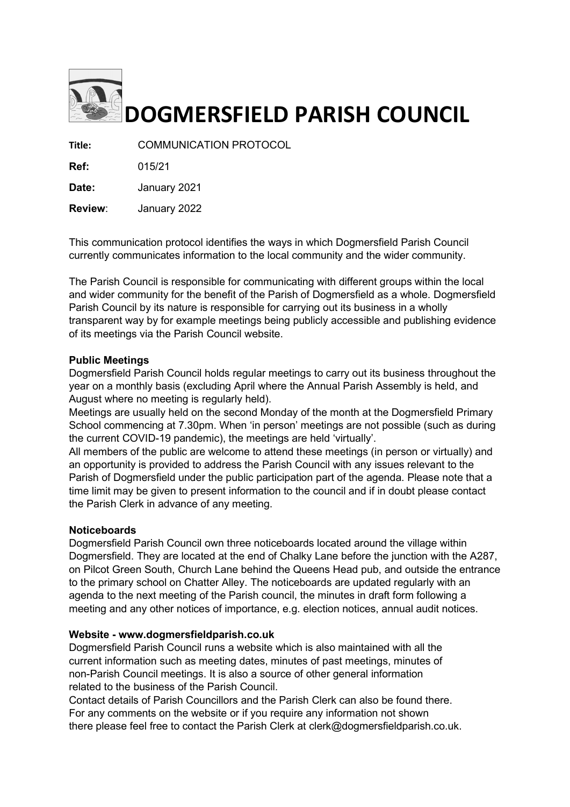

# DOGMERSFIELD PARISH COUNCIL

Title: COMMUNICATION PROTOCOL

Ref: 015/21

Date: January 2021

Review: January 2022

This communication protocol identifies the ways in which Dogmersfield Parish Council currently communicates information to the local community and the wider community.

The Parish Council is responsible for communicating with different groups within the local and wider community for the benefit of the Parish of Dogmersfield as a whole. Dogmersfield Parish Council by its nature is responsible for carrying out its business in a wholly transparent way by for example meetings being publicly accessible and publishing evidence of its meetings via the Parish Council website.

### Public Meetings

Dogmersfield Parish Council holds regular meetings to carry out its business throughout the year on a monthly basis (excluding April where the Annual Parish Assembly is held, and August where no meeting is regularly held).

Meetings are usually held on the second Monday of the month at the Dogmersfield Primary School commencing at 7.30pm. When 'in person' meetings are not possible (such as during the current COVID-19 pandemic), the meetings are held 'virtually'.

All members of the public are welcome to attend these meetings (in person or virtually) and an opportunity is provided to address the Parish Council with any issues relevant to the Parish of Dogmersfield under the public participation part of the agenda. Please note that a time limit may be given to present information to the council and if in doubt please contact the Parish Clerk in advance of any meeting.

### **Noticeboards**

Dogmersfield Parish Council own three noticeboards located around the village within Dogmersfield. They are located at the end of Chalky Lane before the junction with the A287, on Pilcot Green South, Church Lane behind the Queens Head pub, and outside the entrance to the primary school on Chatter Alley. The noticeboards are updated regularly with an agenda to the next meeting of the Parish council, the minutes in draft form following a meeting and any other notices of importance, e.g. election notices, annual audit notices.

### Website - www.dogmersfieldparish.co.uk

Dogmersfield Parish Council runs a website which is also maintained with all the current information such as meeting dates, minutes of past meetings, minutes of non-Parish Council meetings. It is also a source of other general information related to the business of the Parish Council.

Contact details of Parish Councillors and the Parish Clerk can also be found there. For any comments on the website or if you require any information not shown there please feel free to contact the Parish Clerk at clerk@dogmersfieldparish.co.uk.